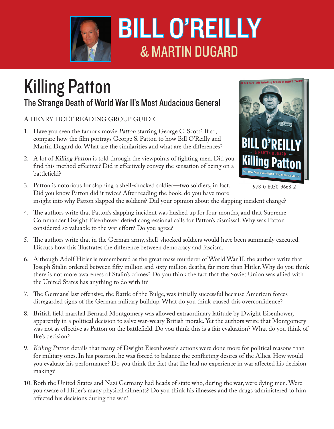

## BILL O'REILLY & MARTIN DUGARD

## Killing Patton

## The Strange Death of World War II's Most Audacious General

## A HENRY HOLT READING GROUP GUIDE

- 1. Have you seen the famous movie Patton starring George C. Scott? If so, compare how the film portrays George S. Patton to how Bill O'Reilly and Martin Dugard do. What are the similarities and what are the differences?
- 2. A lot of Killing Patton is told through the viewpoints of fighting men. Did you find this method effective? Did it effectively convey the sensation of being on a battlefield?



<sup>978-0-8050-9668-2</sup>

- 3. Patton is notorious for slapping a shell-shocked soldier—two soldiers, in fact. Did you know Patton did it twice? After reading the book, do you have more insight into why Patton slapped the soldiers? Did your opinion about the slapping incident change?
- 4. The authors write that Patton's slapping incident was hushed up for four months, and that Supreme Commander Dwight Eisenhower defied congressional calls for Patton's dismissal. Why was Patton considered so valuable to the war effort? Do you agree?
- 5. The authors write that in the German army, shell-shocked soldiers would have been summarily executed. Discuss how this illustrates the difference between democracy and fascism.
- 6. Although Adolf Hitler is remembered as the great mass murderer of World War II, the authors write that Joseph Stalin ordered between fifty million and sixty million deaths, far more than Hitler. Why do you think there is not more awareness of Stalin's crimes? Do you think the fact that the Soviet Union was allied with the United States has anything to do with it?
- 7. The Germans' last offensive, the Battle of the Bulge, was initially successful because American forces disregarded signs of the German military buildup. What do you think caused this overconfidence?
- 8. British field marshal Bernard Montgomery was allowed extraordinary latitude by Dwight Eisenhower, apparently in a political decision to salve war-weary British morale. Yet the authors write that Montgomery was not as effective as Patton on the battlefield. Do you think this is a fair evaluation? What do you think of Ike's decision?
- 9. Killing Patton details that many of Dwight Eisenhower's actions were done more for political reasons than for military ones. In his position, he was forced to balance the conflicting desires of the Allies. How would you evaluate his performance? Do you think the fact that Ike had no experience in war affected his decision making?
- 10. Both the United States and Nazi Germany had heads of state who, during the war, were dying men. Were you aware of Hitler's many physical ailments? Do you think his illnesses and the drugs administered to him affected his decisions during the war?